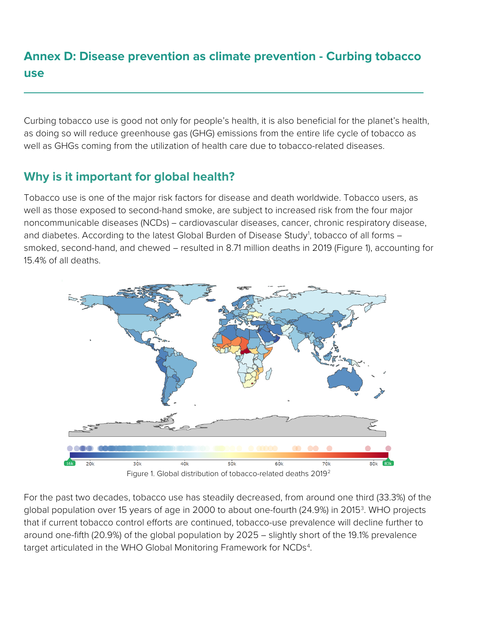# **Annex D: Disease prevention as climate prevention - Curbing tobacco use**

Curbing tobacco use is good not only for people's health, it is also beneficial for the planet's health, as doing so will reduce greenhouse gas (GHG) emissions from the entire life cycle of tobacco as well as GHGs coming from the utilization of health care due to tobacco-related diseases.

## **Why is it important for global health?**

Tobacco use is one of the major risk factors for disease and death worldwide. Tobacco users, as well as those exposed to second-hand smoke, are subject to increased risk from the four major noncommunicable diseases (NCDs) – cardiovascular diseases, cancer, chronic respiratory disease, and diabetes. According to the latest Global Burden of Disease Study<sup>[1](#page-4-0)</sup>, tobacco of all forms smoked, second-hand, and chewed - resulted in 8.71 million deaths in 2019 (Figure 1), accounting for 15.4% of all deaths.



For the past two decades, tobacco use has steadily decreased, from around one third (33.3%) of the global population over 15 years of age in 2000 to about one-fourth (24.9%) in 2015<sup>[3](#page-4-2)</sup>. WHO projects that if current tobacco control efforts are continued, tobacco-use prevalence will decline further to around one-fifth (20.9%) of the global population by 2025 - slightly short of the 19.1% prevalence target articulated in the WHO Global Monitoring Framework for  $\mathsf{NCDs}^4$  $\mathsf{NCDs}^4$ .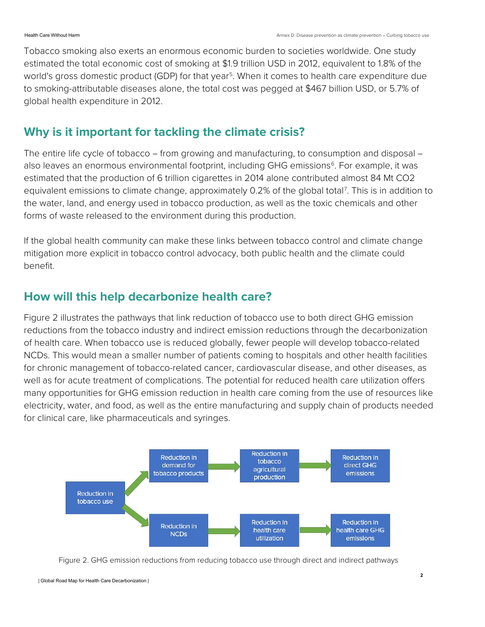Tobacco smoking also exerts an enormous economic burden to societies worldwide. One study estimated the total economic cost of smoking at \$1.9 trillion USD in 2012, equivalent to 1.8% of the world's gross domestic product (GDP) for that year<sup>5</sup>. When it comes to health care expenditure due to smoking-attributable diseases alone, the total cost was pegged at \$467 billion USD, or 5.7% of global health expenditure in 2012.

## **Why is it important for tackling the climate crisis?**

The entire life cycle of tobacco – from growing and manufacturing, to consumption and disposal – also leaves an enormous environmental footprint, including GHG emissions<sup>6</sup>. For example, it was estimated that the production of 6 trillion cigarettes in 2014 alone contributed almost 84 Mt CO2 equivalent emissions to climate change, approximately 0.2% of the global total<sup>[7](#page-4-6)</sup>. This is in addition to the water, land, and energy used in tobacco production, as well as the toxic chemicals and other forms of waste released to the environment during this production.

If the global health community can make these links between tobacco control and climate change mitigation more explicit in tobacco control advocacy, both public health and the climate could benefit.

## **How will this help decarbonize health care?**

Figure 2 illustrates the pathways that link reduction of tobacco use to both direct GHG emission reductions from the tobacco industry and indirect emission reductions through the decarbonization of health care. When tobacco use is reduced globally, fewer people will develop tobacco-related NCDs. This would mean a smaller number of patients coming to hospitals and other health facilities for chronic management of tobacco-related cancer, cardiovascular disease, and other diseases, as well as for acute treatment of complications. The potential for reduced health care utilization offers many opportunities for GHG emission reduction in health care coming from the use of resources like electricity, water, and food, as well as the entire manufacturing and supply chain of products needed for clinical care, like pharmaceuticals and syringes.



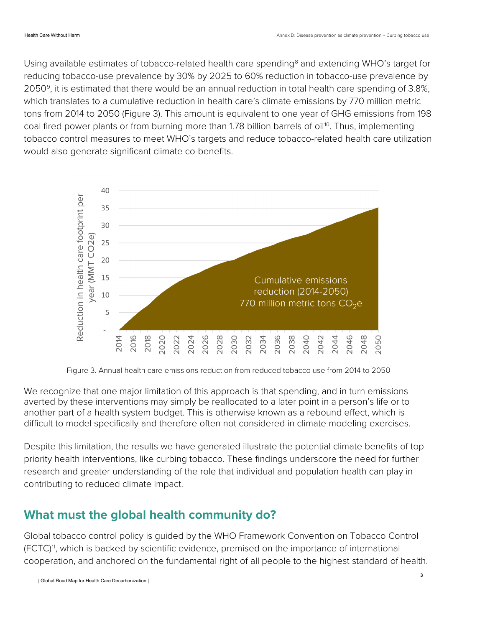Using available estimates of tobacco-related health care spending<sup>[8](#page-4-7)</sup> and extending WHO's target for reducing tobacco-use prevalence by 30% by 2025 to 60% reduction in tobacco-use prevalence by 2050[9](#page-4-8), it is estimated that there would be an annual reduction in total health care spending of 3.8%, which translates to a cumulative reduction in health care's climate emissions by 770 million metric tons from 2014 to 2050 (Figure 3). This amount is equivalent to one year of GHG emissions from 198 coal fired power plants or from burning more than 1.78 billion barrels of oil<sup>[10](#page-4-9)</sup>. Thus, implementing tobacco control measures to meet WHO's targets and reduce tobacco-related health care utilization would also generate significant climate co-benefits.



Figure 3. Annual health care emissions reduction from reduced tobacco use from 2014 to 2050

We recognize that one major limitation of this approach is that spending, and in turn emissions averted by these interventions may simply be reallocated to a later point in a person's life or to another part of a health system budget. This is otherwise known as a rebound effect, which is difficult to model specifically and therefore often not considered in climate modeling exercises.

Despite this limitation, the results we have generated illustrate the potential climate benefits of top priority health interventions, like curbing tobacco. These findings underscore the need for further research and greater understanding of the role that individual and population health can play in contributing to reduced climate impact.

### **What must the global health community do?**

Global tobacco control policy is guided by the WHO Framework Convention on Tobacco Control (FCTC)<sup>11</sup>, which is backed by scientific evidence, premised on the importance of international cooperation, and anchored on the fundamental right of all people to the highest standard of health.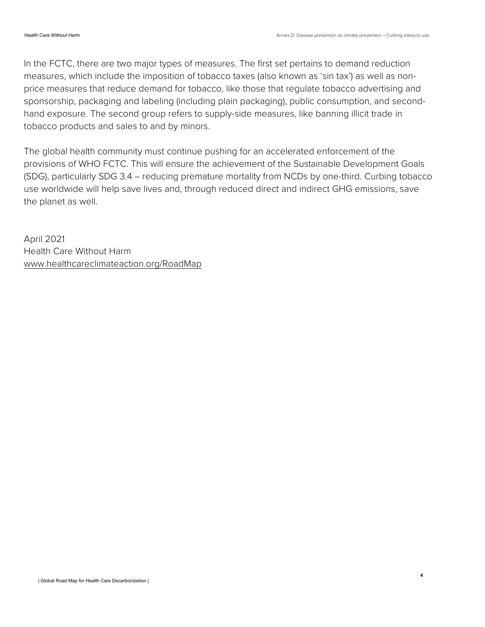In the FCTC, there are two major types of measures. The first set pertains to demand reduction measures, which include the imposition of tobacco taxes (also known as 'sin tax') as well as nonprice measures that reduce demand for tobacco, like those that regulate tobacco advertising and sponsorship, packaging and labeling (including plain packaging), public consumption, and secondhand exposure. The second group refers to supply-side measures, like banning illicit trade in tobacco products and sales to and by minors.

The global health community must continue pushing for an accelerated enforcement of the provisions of WHO FCTC. This will ensure the achievement of the Sustainable Development Goals (SDG), particularly SDG 3.4 - reducing premature mortality from NCDs by one-third. Curbing tobacco use worldwide will help save lives and, through reduced direct and indirect GHG emissions, save the planet as well.

April 2021 Health Care Without Harm [www.healthcareclimateaction.org/RoadMap](http://www.healthcareclimateaction.org/RoadMap)